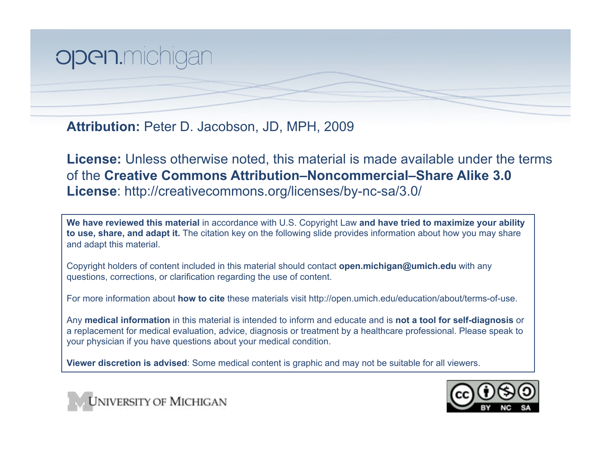### open.michigan

**Attribution:** Peter D. Jacobson, JD, MPH, 2009

**License:** Unless otherwise noted, this material is made available under the terms of the **Creative Commons Attribution–Noncommercial–Share Alike 3.0 License**: http://creativecommons.org/licenses/by-nc-sa/3.0/

**We have reviewed this material** in accordance with U.S. Copyright Law **and have tried to maximize your ability to use, share, and adapt it.** The citation key on the following slide provides information about how you may share and adapt this material.

Copyright holders of content included in this material should contact **open.michigan@umich.edu** with any questions, corrections, or clarification regarding the use of content.

For more information about **how to cite** these materials visit http://open.umich.edu/education/about/terms-of-use.

Any **medical information** in this material is intended to inform and educate and is **not a tool for self-diagnosis** or a replacement for medical evaluation, advice, diagnosis or treatment by a healthcare professional. Please speak to your physician if you have questions about your medical condition.

**Viewer discretion is advised**: Some medical content is graphic and may not be suitable for all viewers.



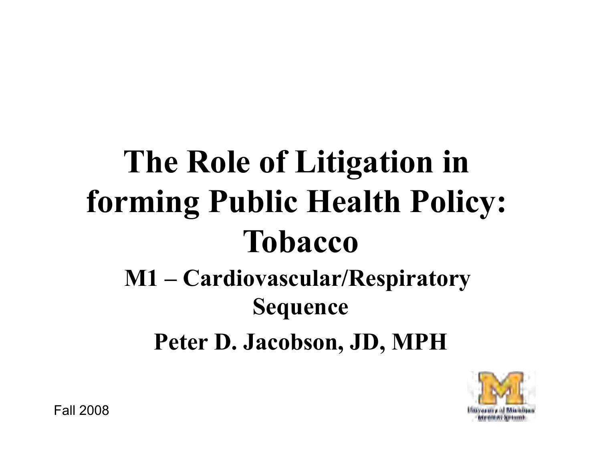# **The Role of Litigation in forming Public Health Policy: Tobacco M1 – Cardiovascular/Respiratory Sequence Peter D. Jacobson, JD, MPH**

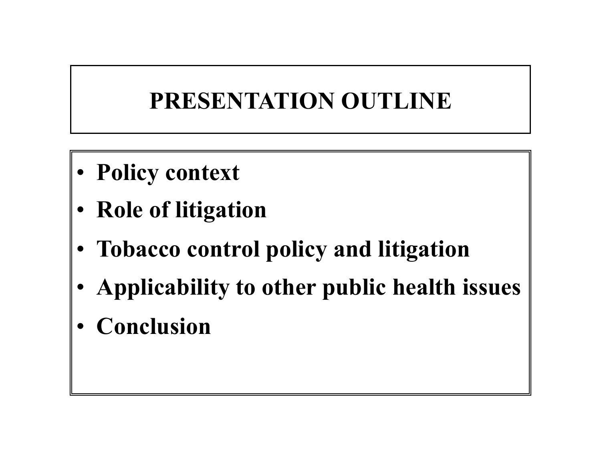### **PRESENTATION OUTLINE**

- **Policy context**
- **Role of litigation**
- **Tobacco control policy and litigation**
- **Applicability to other public health issues**
- **Conclusion**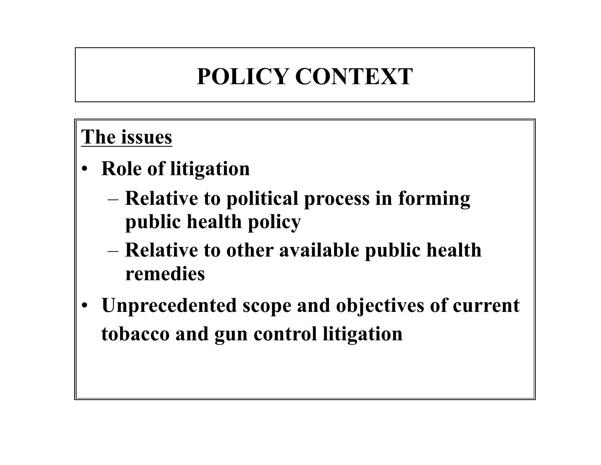### **POLICY CONTEXT**

#### **The issues**

- **Role of litigation** 
	- **Relative to political process in forming public health policy**
	- **Relative to other available public health remedies**
- **Unprecedented scope and objectives of current tobacco and gun control litigation**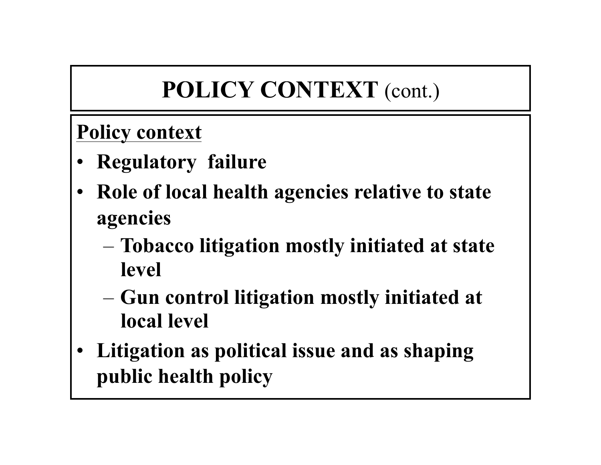## POLICY CONTEXT (cont.)

**Policy context** 

- **Regulatory failure**
- **Role of local health agencies relative to state agencies** 
	- **Tobacco litigation mostly initiated at state level**
	- **Gun control litigation mostly initiated at local level**
- **Litigation as political issue and as shaping public health policy**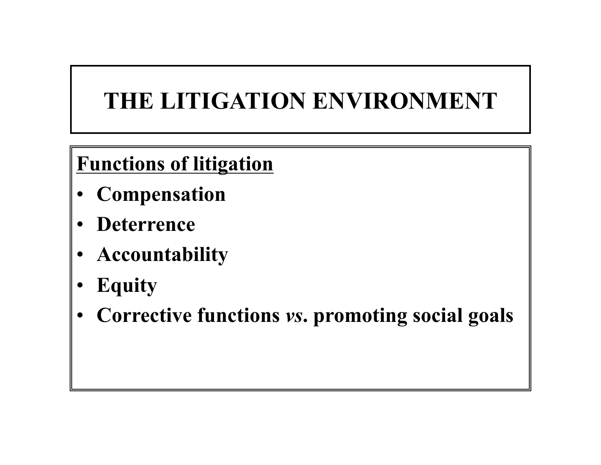### **THE LITIGATION ENVIRONMENT**

### **Functions of litigation**

- **Compensation**
- **Deterrence**
- **Accountability**
- **Equity**
- **Corrective functions** *vs***. promoting social goals**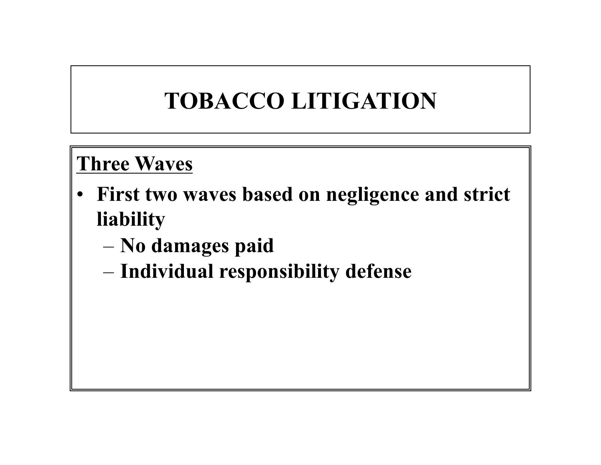### **TOBACCO LITIGATION**

#### **Three Waves**

- **First two waves based on negligence and strict liability** 
	- **No damages paid**
	- **Individual responsibility defense**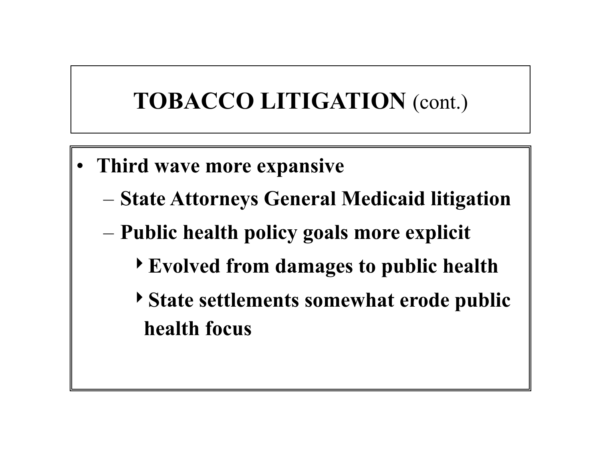### **TOBACCO LITIGATION** (cont.)

- **Third wave more expansive** 
	- **State Attorneys General Medicaid litigation**
	- **Public health policy goals more explicit** 
		- 4**Evolved from damages to public health**
		- 4**State settlements somewhat erode public health focus**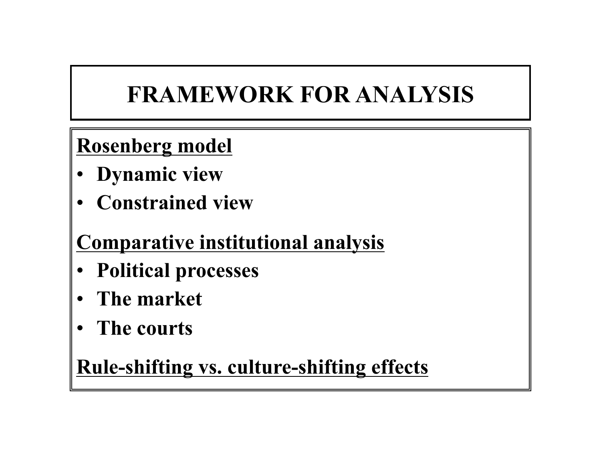## **FRAMEWORK FOR ANALYSIS**

#### **Rosenberg model**

- **Dynamic view**
- **Constrained view**

### **Comparative institutional analysis**

- **Political processes**
- **The market**
- **The courts**

#### **Rule-shifting vs. culture-shifting effects**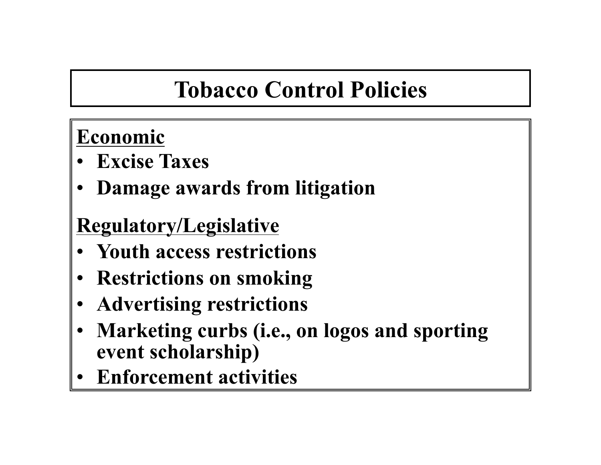## **Tobacco Control Policies**

### **Economic**

- **Excise Taxes**
- **Damage awards from litigation**

### **Regulatory/Legislative**

- **Youth access restrictions**
- **Restrictions on smoking**
- **Advertising restrictions**
- **Marketing curbs (i.e., on logos and sporting event scholarship)**
- **Enforcement activities**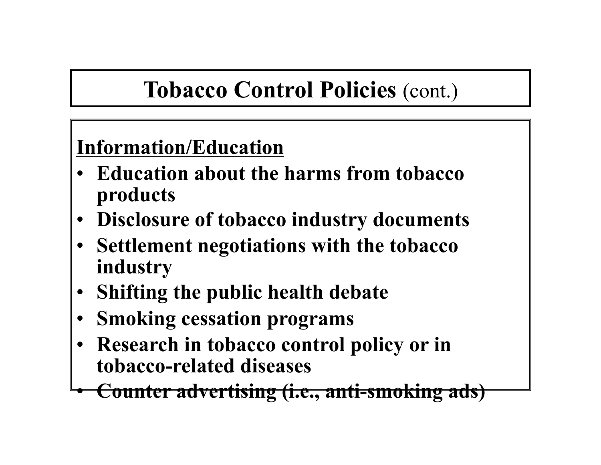### **Tobacco Control Policies** (cont.)

### **Information/Education**

- **Education about the harms from tobacco products**
- **Disclosure of tobacco industry documents**
- **Settlement negotiations with the tobacco industry**
- **Shifting the public health debate**
- **Smoking cessation programs**
- **Research in tobacco control policy or in tobacco-related diseases**
- **Counter advertising (i.e., anti-smoking ads)**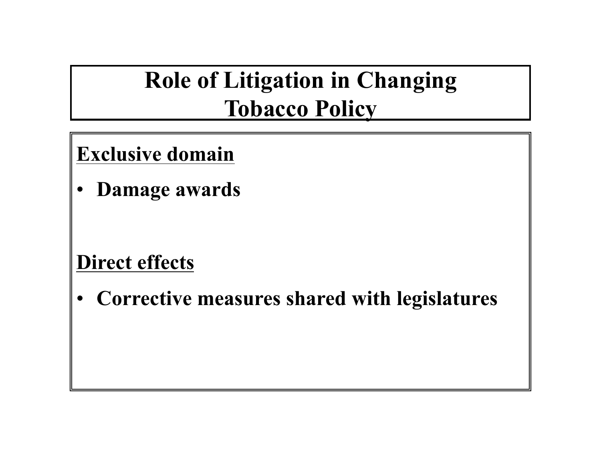### **Role of Litigation in Changing Tobacco Policy**

#### **Exclusive domain**

• **Damage awards** 

#### **Direct effects**

• **Corrective measures shared with legislatures**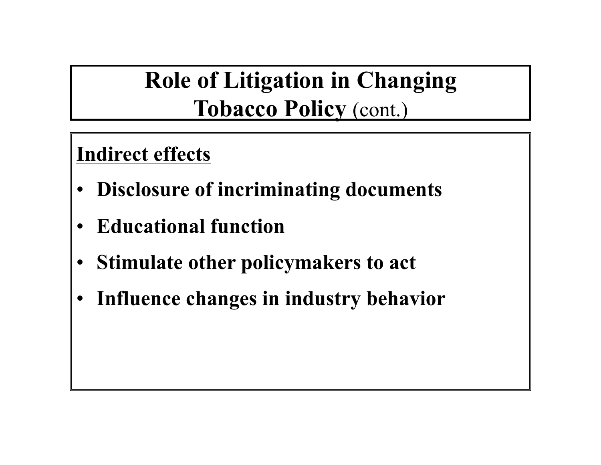### **Role of Litigation in Changing Tobacco Policy** (cont.)

#### **Indirect effects**

- **Disclosure of incriminating documents**
- **Educational function**
- **Stimulate other policymakers to act**
- **Influence changes in industry behavior**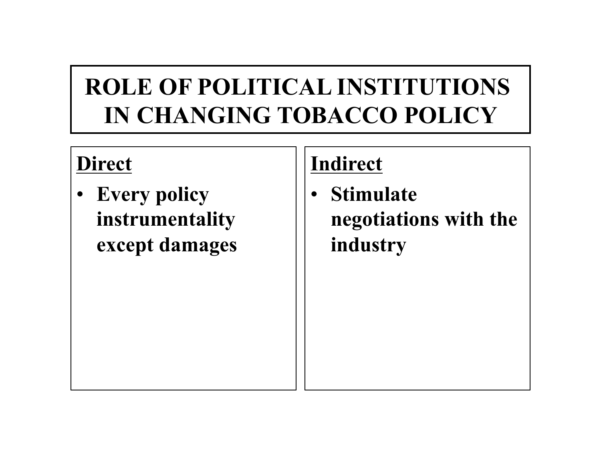## **ROLE OF POLITICAL INSTITUTIONS IN CHANGING TOBACCO POLICY**

#### **Direct**

• **Every policy instrumentality except damages** 

#### **Indirect**

• **Stimulate negotiations with the industry**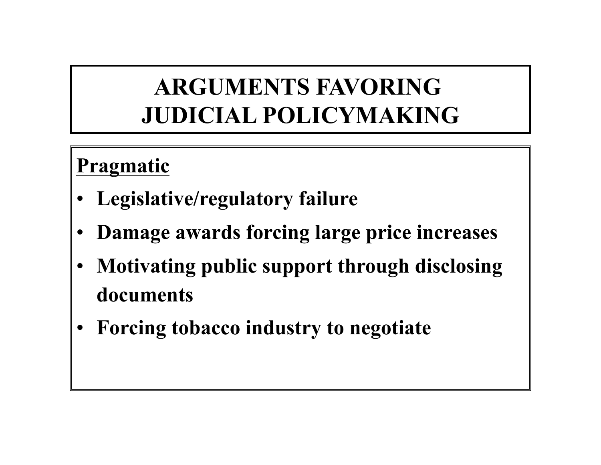### **ARGUMENTS FAVORING JUDICIAL POLICYMAKING**

### **Pragmatic**

- **Legislative/regulatory failure**
- **Damage awards forcing large price increases**
- **Motivating public support through disclosing documents**
- **Forcing tobacco industry to negotiate**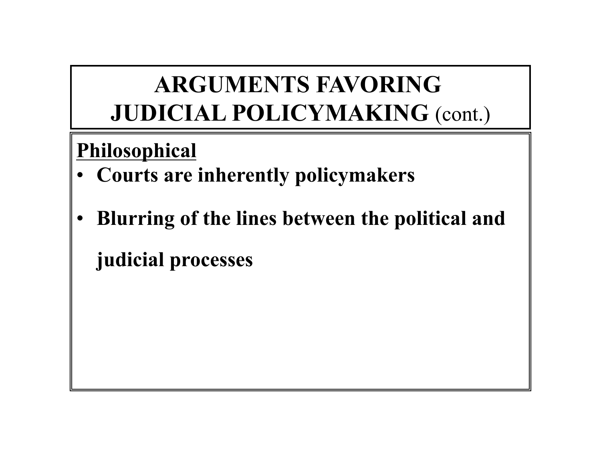## **ARGUMENTS FAVORING JUDICIAL POLICYMAKING** (cont.)

### **Philosophical**

- **Courts are inherently policymakers**
- **Blurring of the lines between the political and judicial processes**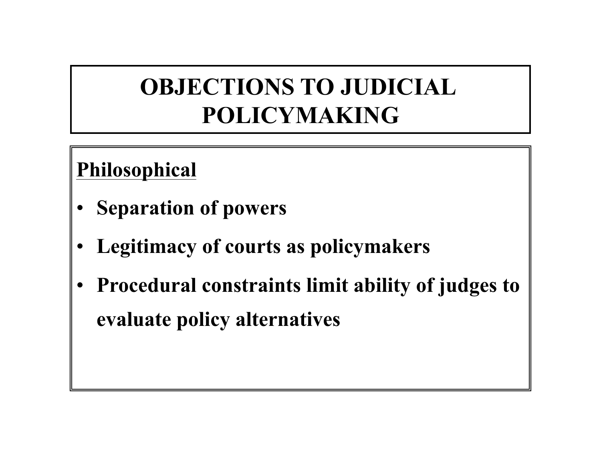### **OBJECTIONS TO JUDICIAL POLICYMAKING**

#### **Philosophical**

- **Separation of powers**
- **Legitimacy of courts as policymakers**
- **Procedural constraints limit ability of judges to evaluate policy alternatives**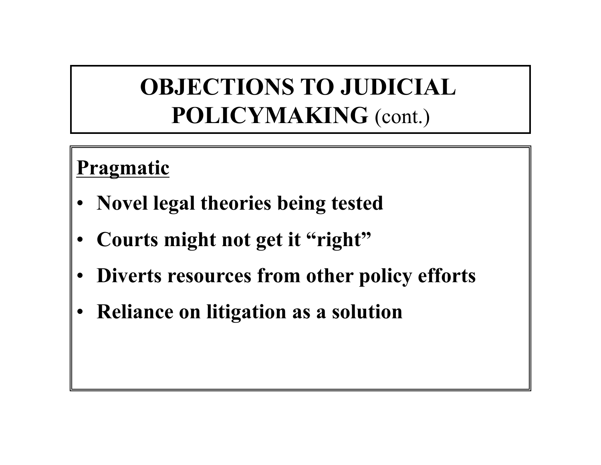### **OBJECTIONS TO JUDICIAL POLICYMAKING** (cont.)

#### **Pragmatic**

- **Novel legal theories being tested**
- **Courts might not get it "right"**
- **Diverts resources from other policy efforts**
- **Reliance on litigation as a solution**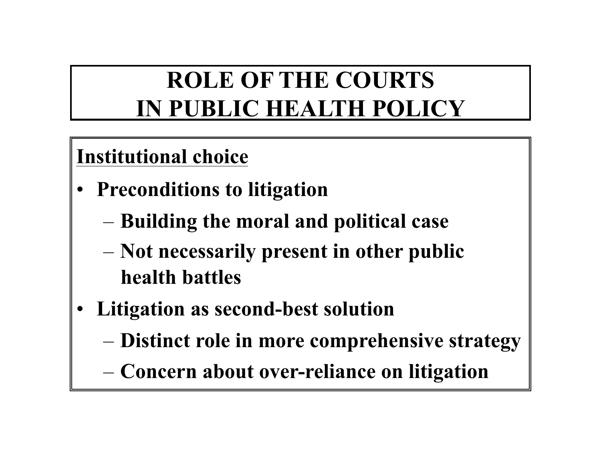## **ROLE OF THE COURTS IN PUBLIC HEALTH POLICY**

### **Institutional choice**

- **Preconditions to litigation** 
	- **Building the moral and political case**
	- **Not necessarily present in other public health battles**
- **Litigation as second-best solution** 
	- **Distinct role in more comprehensive strategy**
	- **Concern about over-reliance on litigation**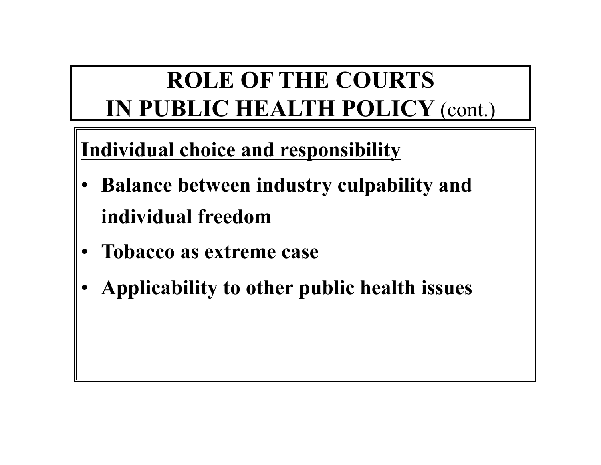## **ROLE OF THE COURTS IN PUBLIC HEALTH POLICY** (cont.)

**Individual choice and responsibility**

- **Balance between industry culpability and individual freedom**
- **Tobacco as extreme case**
- **Applicability to other public health issues**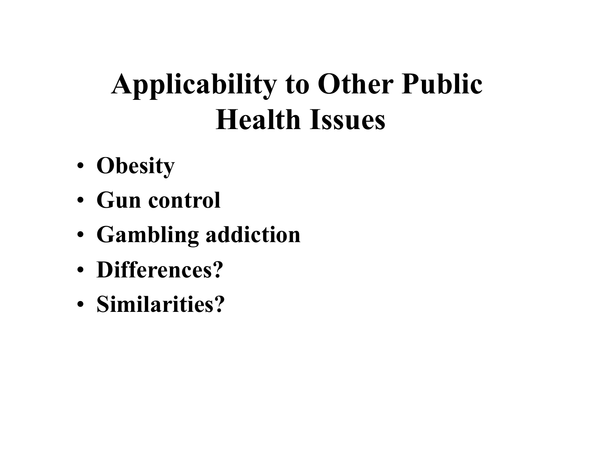# **Applicability to Other Public Health Issues**

- **Obesity**
- **Gun control**
- **Gambling addiction**
- **Differences?**
- **Similarities?**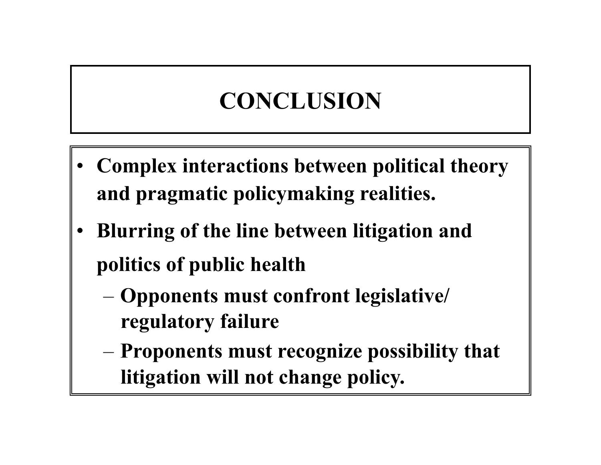### **CONCLUSION**

- **Complex interactions between political theory and pragmatic policymaking realities.**
- **Blurring of the line between litigation and politics of public health** 
	- **Opponents must confront legislative/ regulatory failure**
	- **Proponents must recognize possibility that litigation will not change policy.**